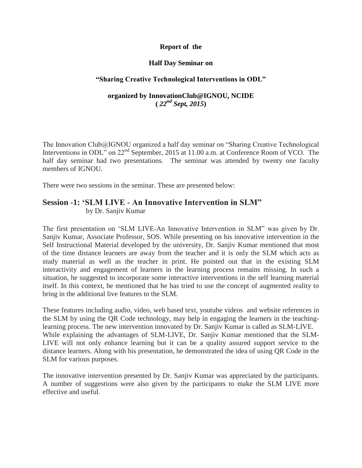#### **Report of the**

#### **Half Day Seminar on**

### **"Sharing Creative Technological Interventions in ODL"**

## **organized by InnovationClub@IGNOU, NCIDE**  $(22^{nd}$  **Sept, 2015** $)$

The Innovation Club@IGNOU organized a half day seminar on "Sharing Creative Technological Interventions in ODL" on 22<sup>nd</sup> September, 2015 at 11.00 a.m. at Conference Room of VCO. The half day seminar had two presentations. The seminar was attended by twenty one faculty members of IGNOU.

There were two sessions in the seminar. These are presented below:

### **Session -1: 'SLM LIVE - An Innovative Intervention in SLM"** by Dr. Sanjiv Kumar

The first presentation on 'SLM LIVE-An Innovative Intervention in SLM" was given by Dr. Sanjiv Kumar, Associate Professor, SOS. While presenting on his innovative intervention in the Self Instructional Material developed by the university, Dr. Sanjiv Kumar mentioned that most of the time distance learners are away from the teacher and it is only the SLM which acts as study material as well as the teacher in print. He pointed out that in the existing SLM interactivity and engagement of learners in the learning process remains missing. In such a situation, he suggested to incorporate some interactive interventions in the self learning material itself. In this context, he mentioned that he has tried to use the concept of augmented reality to bring in the additional live features to the SLM.

These features including audio, video, web based text, youtube videos and website references in the SLM by using the QR Code technology, may help in engaging the learners in the teachinglearning process. The new intervention innovated by Dr. Sanjiv Kumar is called as SLM-LIVE. While explaining the advantages of SLM-LIVE, Dr. Sanjiv Kumar mentioned that the SLM-LIVE will not only enhance learning but it can be a quality assured support service to the distance learners. Along with his presentation, he demonstrated the idea of using QR Code in the SLM for various purposes.

The innovative intervention presented by Dr. Sanjiv Kumar was appreciated by the participants. A number of suggestions were also given by the participants to make the SLM LIVE more effective and useful.